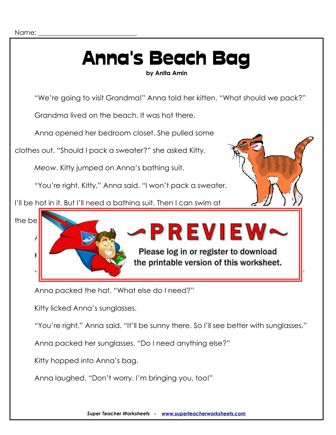## Anna's Beach Bag **by Anita Amin**

"We're going to visit Grandma!" Anna told her kitten. "What should we pack?"

Grandma lived on the beach. It was hot there.

Anna opened her bedroom closet. She pulled some

clothes out. "Should I pack a sweater?" she asked Kitty.

*Meow*. Kitty jumped on Anna's bathing suit.

"You're right, Kitty," Anna said. "I won't pack a sweater.

I'll be hot in it. But I'll need a bathing suit. Then I can swim at





Anna packed the hat. "What else do I need?"

Kitty licked Anna's sunglasses.

"You're right," Anna said. "It'll be sunny there. So I'll see better with sunglasses."

Anna packed her sunglasses. "Do I need anything else?"

Kitty hopped into Anna's bag.

Anna laughed. "Don't worry. I'm bringing you, too!"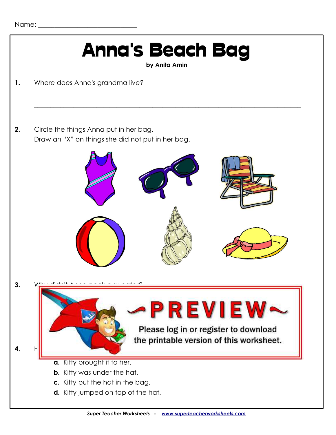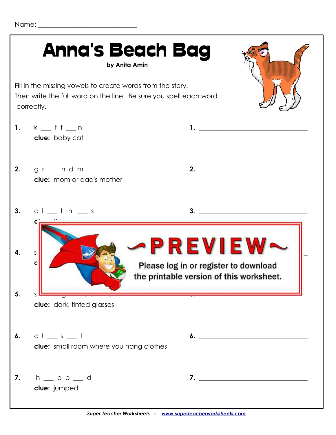Name:  $\blacksquare$ 

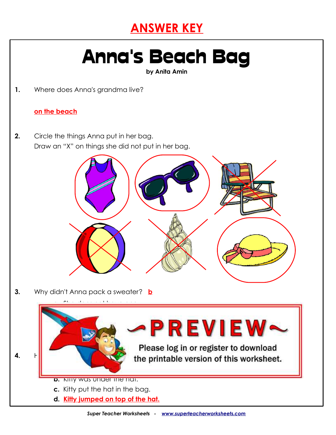### **ANSWER KEY**

# Anna's Beach Bag

**by Anita Amin**

**1.** Where does Anna's grandma live?

#### **on the beach**

**2.** Circle the things Anna put in her bag. Draw an "X" on things she did not put in her bag.



**3.** Why didn't Anna pack a sweater? **b**